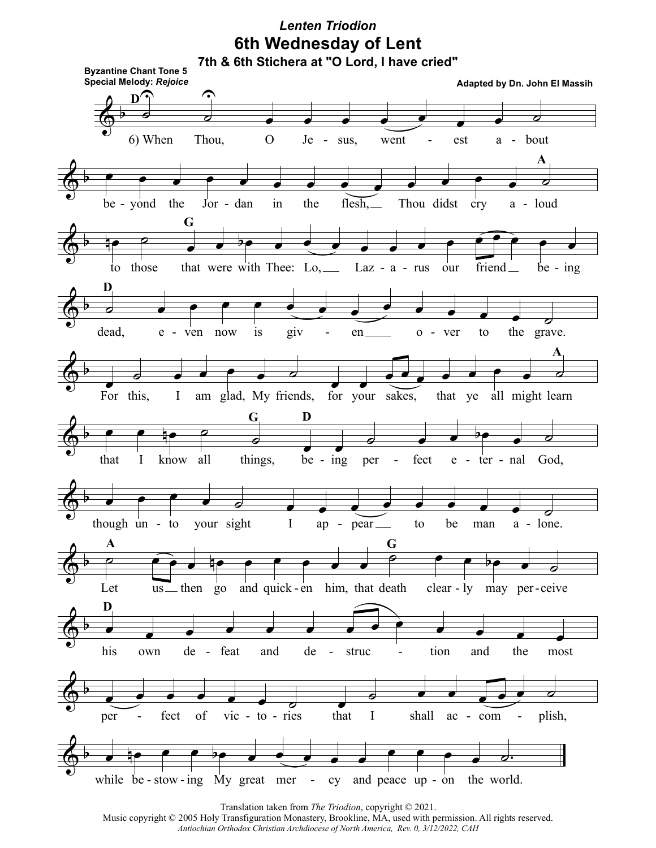## **6th Wednesday of Lent** *Lenten Triodion*



Translation taken from *The Triodion*, copyright © 2021.

Music copyright © 2005 Holy Transfiguration Monastery, Brookline, MA, used with permission. All rights reserved. *Antiochian Orthodox Christian Archdiocese of North America, Rev. 0, 3/12/2022, CAH*